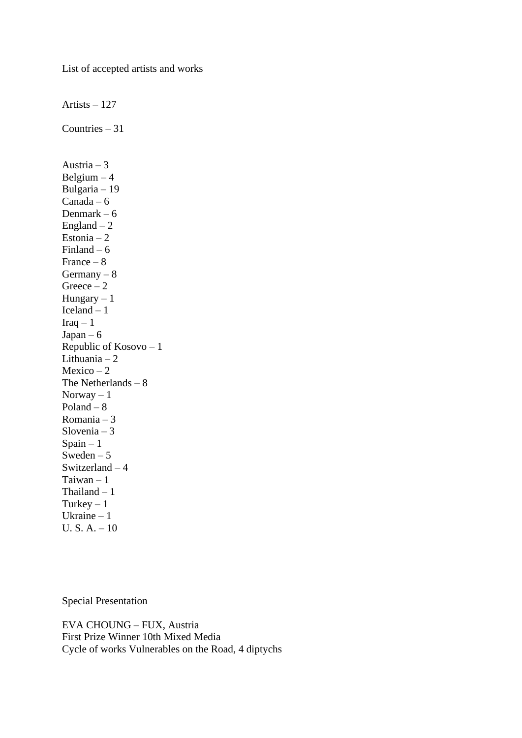List of accepted artists and works

Artists – 127 Countries – 31 Austria – 3 Belgium  $-4$ Bulgaria – 19  $Canada - 6$ Denmark – 6 England  $-2$ Estonia – 2 Finland –  $6$ France – 8 Germany  $-8$  $Greeze - 2$ Hungary  $-1$ Iceland – 1  $Iraq - 1$  $Japan - 6$ Republic of Kosovo – 1 Lithuania – 2  $Mexico-2$ The Netherlands – 8 Norway  $-1$ Poland – 8 Romania – 3 Slovenia – 3  $S$ pain – 1 Sweden –  $5$ Switzerland – 4 Taiwan – 1 Thailand – 1 Turkey  $-1$ Ukraine – 1 U. S. A. – 10

Special Presentation

EVA CHOUNG – FUX, Austria First Prize Winner 10th Mixed Media Cycle of works Vulnerables on the Road, 4 diptychs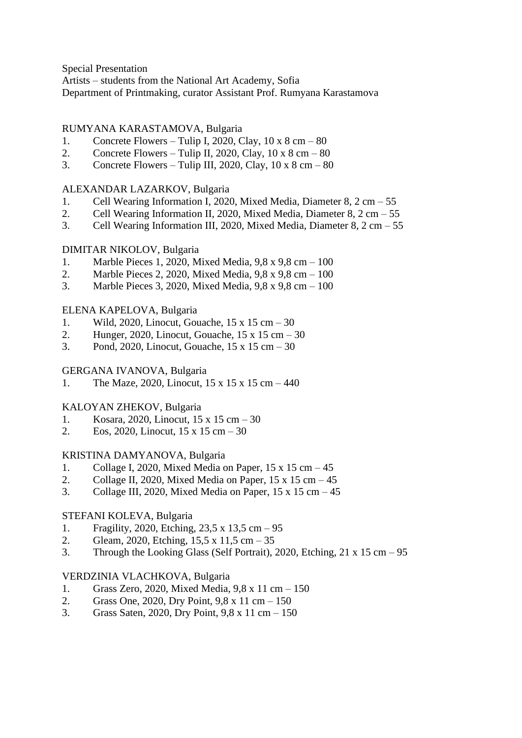Special Presentation

Artists – students from the National Art Academy, Sofia

Department of Printmaking, curator Assistant Prof. Rumyana Karastamova

## RUMYANA KARASTAMOVA, Bulgaria

- 1. Concrete Flowers Tulip I, 2020, Clay,  $10 \times 8$  cm  $80$
- 2. Concrete Flowers Tulip II, 2020, Clay,  $10 \times 8$  cm  $80$
- 3. Concrete Flowers Tulip III, 2020, Clay,  $10 \times 8$  cm  $80$

## ALEXANDAR LAZARKOV, Bulgaria

- 1. Cell Wearing Information I, 2020, Mixed Media, Diameter 8, 2 cm 55
- 2. Cell Wearing Information II, 2020, Mixed Media, Diameter 8, 2 cm 55
- 3. Cell Wearing Information III, 2020, Mixed Media, Diameter 8, 2 cm 55

## DIMITAR NIKOLOV, Bulgaria

- 1. Marble Pieces 1, 2020, Mixed Media, 9,8 x 9,8 cm 100
- 2. Marble Pieces 2, 2020, Mixed Media, 9,8 x 9,8 cm 100
- 3. Marble Pieces 3, 2020, Mixed Media, 9,8 x 9,8 cm 100

## ELENA KAPELOVA, Bulgaria

- 1. Wild, 2020, Linocut, Gouache, 15 x 15 cm 30
- 2. Hunger, 2020, Linocut, Gouache, 15 x 15 cm 30
- 3. Pond, 2020, Linocut, Gouache, 15 x 15 cm 30

## GERGANA IVANOVA, Bulgaria

1. The Maze, 2020, Linocut, 15 x 15 x 15 cm – 440

# KALOYAN ZHEKOV, Bulgaria

- 1. Kosara, 2020, Linocut, 15 x 15 cm 30
- 2. Eos, 2020, Linocut, 15 x 15 cm 30

## KRISTINA DAMYANOVA, Bulgaria

- 1. Collage I, 2020, Mixed Media on Paper, 15 x 15 cm 45
- 2. Collage II, 2020, Mixed Media on Paper,  $15 \times 15$  cm  $-45$
- 3. Collage III, 2020, Mixed Media on Paper,  $15 \times 15$  cm  $-45$

# STEFANI KOLEVA, Bulgaria

- 1. Fragility, 2020, Etching, 23,5 x 13,5 cm 95
- 2. Gleam, 2020, Etching,  $15.5 \times 11.5 \text{ cm} 35$
- 3. Through the Looking Glass (Self Portrait), 2020, Etching, 21 x 15 cm 95

## VERDZINIA VLACHKOVA, Bulgaria

- 1. Grass Zero, 2020, Mixed Media, 9,8 x 11 cm 150
- 2. Grass One, 2020, Dry Point, 9,8 x 11 cm 150
- 3. Grass Saten, 2020, Dry Point, 9,8 x 11 cm 150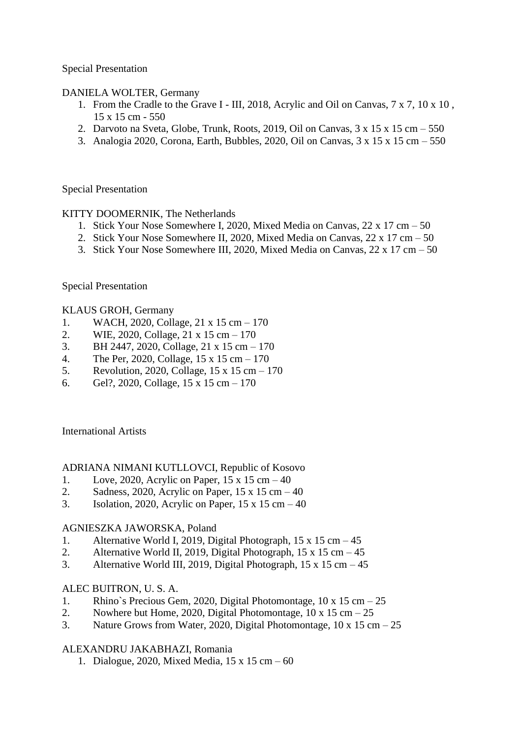Special Presentation

DANIELA WOLTER, Germany

- 1. From the Cradle to the Grave I III, 2018, Acrylic and Oil on Canvas, 7 x 7, 10 x 10 , 15 x 15 cm - 550
- 2. Darvoto na Sveta, Globe, Trunk, Roots, 2019, Oil on Canvas,  $3 \times 15 \times 15$  cm  $-550$
- 3. Analogia 2020, Corona, Earth, Bubbles, 2020, Oil on Canvas, 3 x 15 x 15 cm 550

Special Presentation

KITTY DOOMERNIK, The Netherlands

- 1. Stick Your Nose Somewhere I, 2020, Mixed Media on Canvas, 22 x 17 cm 50
- 2. Stick Your Nose Somewhere II, 2020, Mixed Media on Canvas, 22 x 17 cm 50
- 3. Stick Your Nose Somewhere III, 2020, Mixed Media on Canvas, 22 x 17 cm 50

Special Presentation

## KLAUS GROH, Germany

- 1. WACH, 2020, Collage, 21 x 15 cm 170
- 2. WIE, 2020, Collage, 21 x 15 cm 170
- 3. BH 2447, 2020, Collage, 21 x 15 cm 170
- 4. The Per, 2020, Collage, 15 x 15 cm 170
- 5. Revolution, 2020, Collage, 15 x 15 cm 170
- 6. Gel?, 2020, Collage, 15 x 15 cm 170

International Artists

### ADRIANA NIMANI KUTLLOVCI, Republic of Kosovo

- 1. Love, 2020, Acrylic on Paper,  $15 \times 15$  cm  $-40$
- 2. Sadness, 2020, Acrylic on Paper,  $15 \times 15$  cm  $-40$
- 3. Isolation, 2020, Acrylic on Paper,  $15 \times 15$  cm  $-40$

## AGNIESZKA JAWORSKA, Poland

- 1. Alternative World I, 2019, Digital Photograph, 15 x 15 cm 45
- 2. Alternative World II, 2019, Digital Photograph, 15 x 15 cm 45
- 3. Alternative World III, 2019, Digital Photograph, 15 x 15 cm 45

## ALEC BUITRON, U. S. A.

- 1. Rhino`s Precious Gem, 2020, Digital Photomontage, 10 x 15 cm 25
- 2. Nowhere but Home, 2020, Digital Photomontage,  $10 \times 15$  cm  $-25$
- 3. Nature Grows from Water, 2020, Digital Photomontage,  $10 \times 15$  cm  $-25$

## ALEXANDRU JAKABHAZI, Romania

1. Dialogue, 2020, Mixed Media, 15 x 15 cm – 60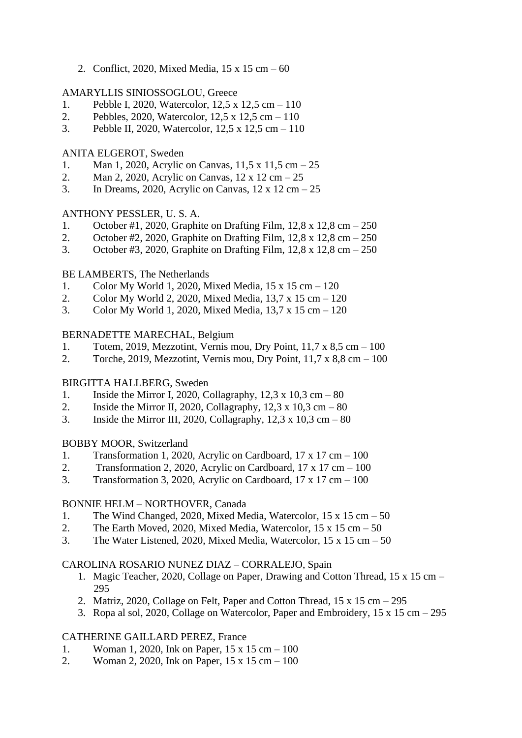2. Conflict, 2020, Mixed Media, 15 x 15 cm – 60

## AMARYLLIS SINIOSSOGLOU, Greece

- 1. Pebble I, 2020, Watercolor, 12,5 x 12,5 cm 110
- 2. Pebbles, 2020, Watercolor, 12,5 x 12,5 cm 110
- 3. Pebble II, 2020, Watercolor, 12,5 x 12,5 cm 110

## ANITA ELGEROT, Sweden

- 1. Man 1, 2020, Acrylic on Canvas, 11,5 x 11,5 cm 25
- 2. Man 2, 2020, Acrylic on Canvas,  $12 \times 12$  cm  $-25$
- 3. In Dreams, 2020, Acrylic on Canvas,  $12 \times 12$  cm  $-25$

## ANTHONY PESSLER, U. S. A.

- 1. October #1, 2020, Graphite on Drafting Film, 12,8 x 12,8 cm 250
- 2. October #2, 2020, Graphite on Drafting Film, 12,8 x 12,8 cm 250
- 3. October #3, 2020, Graphite on Drafting Film, 12,8 x 12,8 cm 250

## BE LAMBERTS, The Netherlands

- 1. Color My World 1, 2020, Mixed Media, 15 x 15 cm 120
- 2. Color My World 2, 2020, Mixed Media, 13,7 x 15 cm 120
- 3. Color My World 1, 2020, Mixed Media, 13,7 x 15 cm 120

## BERNADETTE MARECHAL, Belgium

- 1. Totem, 2019, Mezzotint, Vernis mou, Dry Point, 11,7 x 8,5 cm 100
- 2. Torche, 2019, Mezzotint, Vernis mou, Dry Point, 11,7 x 8,8 cm 100

## BIRGITTA HALLBERG, Sweden

- 1. Inside the Mirror I, 2020, Collagraphy,  $12.3 \times 10.3 \text{ cm} 80$
- 2. Inside the Mirror II, 2020, Collagraphy,  $12.3 \times 10.3 \text{ cm} 80$
- 3. Inside the Mirror III, 2020, Collagraphy,  $12,3 \times 10,3 \text{ cm} 80$

## BOBBY MOOR, Switzerland

- 1. Transformation 1, 2020, Acrylic on Cardboard, 17 x 17 cm 100
- 2. Transformation 2, 2020, Acrylic on Cardboard,  $17 \times 17$  cm  $-100$
- 3. Transformation 3, 2020, Acrylic on Cardboard,  $17 \times 17$  cm  $-100$

## BONNIE HELM – NORTHOVER, Canada

- 1. The Wind Changed, 2020, Mixed Media, Watercolor, 15 x 15 cm 50
- 2. The Earth Moved, 2020, Mixed Media, Watercolor,  $15 \times 15$  cm  $-50$
- 3. The Water Listened, 2020, Mixed Media, Watercolor, 15 x 15 cm 50

## CAROLINA ROSARIO NUNEZ DIAZ – CORRALEJO, Spain

- 1. Magic Teacher, 2020, Collage on Paper, Drawing and Cotton Thread, 15 x 15 cm 295
- 2. Matriz, 2020, Collage on Felt, Paper and Cotton Thread,  $15 \times 15$  cm  $-295$
- 3. Ropa al sol, 2020, Collage on Watercolor, Paper and Embroidery, 15 x 15 cm 295

## CATHERINE GAILLARD PEREZ, France

- 1. Woman 1, 2020, Ink on Paper, 15 x 15 cm 100
- 2. Woman 2, 2020, Ink on Paper, 15 x 15 cm 100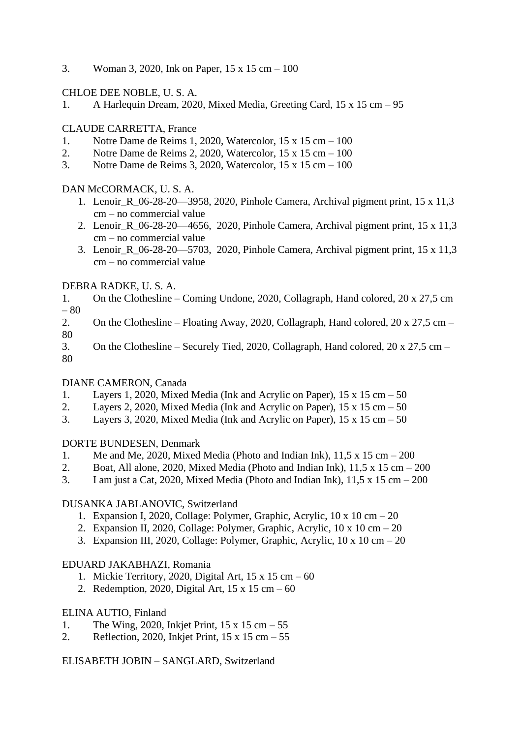3. Woman 3, 2020, Ink on Paper, 15 x 15 cm – 100

CHLOE DEE NOBLE, U. S. A.

1. A Harlequin Dream, 2020, Mixed Media, Greeting Card, 15 x 15 cm – 95

# CLAUDE CARRETTA, France

- 1. Notre Dame de Reims 1, 2020, Watercolor, 15 x 15 cm 100
- 2. Notre Dame de Reims 2, 2020, Watercolor, 15 x 15 cm 100
- 3. Notre Dame de Reims 3, 2020, Watercolor, 15 x 15 cm 100

# DAN McCORMACK, U. S. A.

- 1. Lenoir\_R\_06-28-20—3958, 2020, Pinhole Camera, Archival pigment print, 15 x 11,3 cm – no commercial value
- 2. Lenoir R 06-28-20—4656, 2020, Pinhole Camera, Archival pigment print, 15 x 11,3 cm – no commercial value
- 3. Lenoir\_R\_06-28-20—5703, 2020, Pinhole Camera, Archival pigment print, 15 x 11,3 cm – no commercial value

# DEBRA RADKE, U. S. A.

- 1. On the Clothesline Coming Undone, 2020, Collagraph, Hand colored, 20 x 27,5 cm – 80
- 2. On the Clothesline Floating Away, 2020, Collagraph, Hand colored, 20 x 27,5 cm 80
- 3. On the Clothesline Securely Tied, 2020, Collagraph, Hand colored, 20 x 27,5 cm 80

# DIANE CAMERON, Canada

- 1. Layers 1, 2020, Mixed Media (Ink and Acrylic on Paper), 15 x 15 cm 50
- 2. Layers 2, 2020, Mixed Media (Ink and Acrylic on Paper),  $15 \times 15$  cm  $-50$
- 3. Layers 3, 2020, Mixed Media (Ink and Acrylic on Paper),  $15 \times 15$  cm  $-50$

# DORTE BUNDESEN, Denmark

- 1. Me and Me, 2020, Mixed Media (Photo and Indian Ink),  $11.5 \times 15$  cm  $-200$
- 2. Boat, All alone, 2020, Mixed Media (Photo and Indian Ink),  $11.5 \times 15$  cm  $-200$
- 3. I am just a Cat, 2020, Mixed Media (Photo and Indian Ink),  $11.5 \times 15$  cm  $-200$

# DUSANKA JABLANOVIC, Switzerland

- 1. Expansion I, 2020, Collage: Polymer, Graphic, Acrylic, 10 x 10 cm 20
- 2. Expansion II, 2020, Collage: Polymer, Graphic, Acrylic,  $10 \times 10 \text{ cm} 20$
- 3. Expansion III, 2020, Collage: Polymer, Graphic, Acrylic, 10 x 10 cm 20

# EDUARD JAKABHAZI, Romania

- 1. Mickie Territory, 2020, Digital Art,  $15 \times 15$  cm  $-60$
- 2. Redemption, 2020, Digital Art,  $15 \times 15$  cm  $-60$

# ELINA AUTIO, Finland

- 1. The Wing, 2020, Inkjet Print, 15 x 15 cm 55
- 2. Reflection, 2020, Inkjet Print,  $15 \times 15$  cm  $-55$

ELISABETH JOBIN – SANGLARD, Switzerland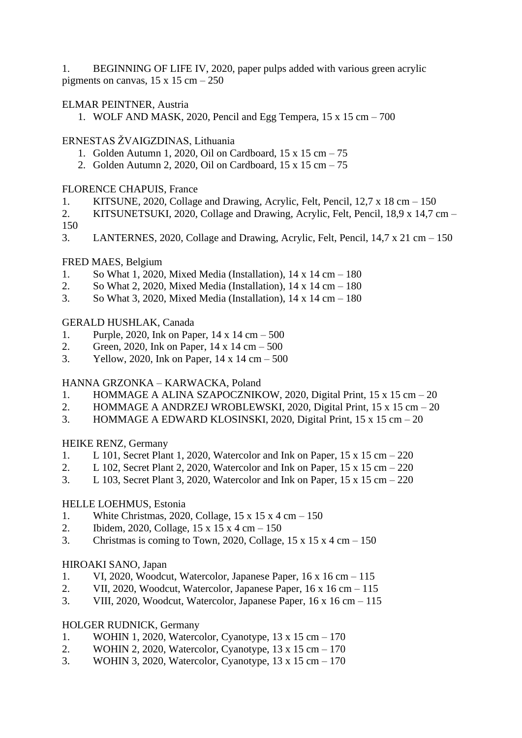1. BEGINNING OF LIFE IV, 2020, paper pulps added with various green acrylic pigments on canvas,  $15 \times 15$  cm  $-250$ 

## ELMAR PEINTNER, Austria

1. WOLF AND MASK, 2020, Pencil and Egg Tempera, 15 x 15 cm – 700

## ERNESTAS ŽVAIGZDINAS, Lithuania

- 1. Golden Autumn 1, 2020, Oil on Cardboard, 15 x 15 cm 75
- 2. Golden Autumn 2, 2020, Oil on Cardboard, 15 x 15 cm 75

## FLORENCE CHAPUIS, France

- 1. KITSUNE, 2020, Collage and Drawing, Acrylic, Felt, Pencil, 12,7 x 18 cm 150
- 2. KITSUNETSUKI, 2020, Collage and Drawing, Acrylic, Felt, Pencil, 18,9 x 14,7 cm 150
- 3. LANTERNES, 2020, Collage and Drawing, Acrylic, Felt, Pencil, 14,7 x 21 cm 150

## FRED MAES, Belgium

- 1. So What 1, 2020, Mixed Media (Installation), 14 x 14 cm 180
- 2. So What 2, 2020, Mixed Media (Installation),  $14 \times 14$  cm  $180$
- 3. So What 3, 2020, Mixed Media (Installation), 14 x 14 cm 180

## GERALD HUSHLAK, Canada

- 1. Purple, 2020, Ink on Paper, 14 x 14 cm 500
- 2. Green, 2020, Ink on Paper, 14 x 14 cm 500
- 3. Yellow, 2020, Ink on Paper, 14 x 14 cm 500

## HANNA GRZONKA – KARWACKA, Poland

- 1. HOMMAGE A ALINA SZAPOCZNIKOW, 2020, Digital Print, 15 x 15 cm 20
- 2. HOMMAGE A ANDRZEJ WROBLEWSKI, 2020, Digital Print, 15 x 15 cm 20
- 3. HOMMAGE A EDWARD KLOSINSKI, 2020, Digital Print, 15 x 15 cm 20

## HEIKE RENZ, Germany

- 1. L 101, Secret Plant 1, 2020, Watercolor and Ink on Paper, 15 x 15 cm 220
- 2. L 102, Secret Plant 2, 2020, Watercolor and Ink on Paper,  $15 \times 15$  cm  $220$
- 3. L 103, Secret Plant 3, 2020, Watercolor and Ink on Paper, 15 x 15 cm 220

## HELLE LOEHMUS, Estonia

- 1. White Christmas, 2020, Collage, 15 x 15 x 4 cm 150
- 2. Ibidem, 2020, Collage, 15 x 15 x 4 cm 150
- 3. Christmas is coming to Town, 2020, Collage,  $15 \times 15 \times 4$  cm  $150$

## HIROAKI SANO, Japan

- 1. VI, 2020, Woodcut, Watercolor, Japanese Paper, 16 x 16 cm 115
- 2. VII, 2020, Woodcut, Watercolor, Japanese Paper, 16 x 16 cm 115
- 3. VIII, 2020, Woodcut, Watercolor, Japanese Paper,  $16 \times 16$  cm  $-115$

## HOLGER RUDNICK, Germany

- 1. WOHIN 1, 2020, Watercolor, Cyanotype, 13 x 15 cm 170
- 2. WOHIN 2, 2020, Watercolor, Cyanotype, 13 x 15 cm 170
- 3. WOHIN 3, 2020, Watercolor, Cyanotype, 13 x 15 cm 170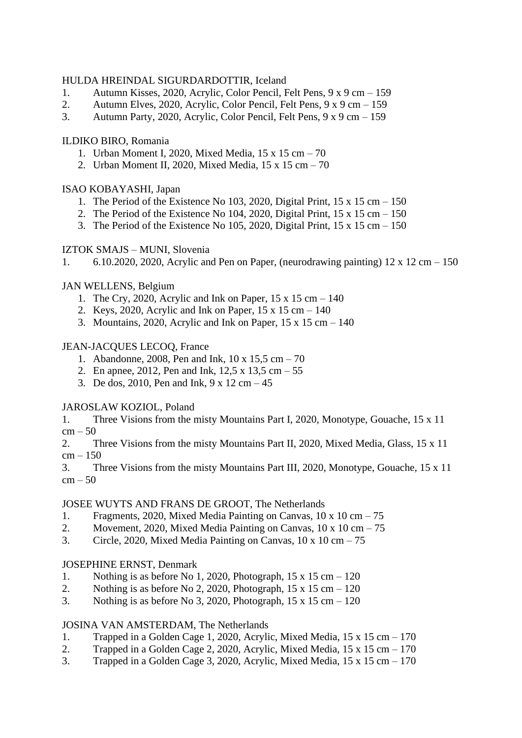## HULDA HREINDAL SIGURDARDOTTIR, Iceland

- 1. Autumn Kisses, 2020, Acrylic, Color Pencil, Felt Pens, 9 x 9 cm 159
- 2. Autumn Elves, 2020, Acrylic, Color Pencil, Felt Pens, 9 x 9 cm 159
- 3. Autumn Party, 2020, Acrylic, Color Pencil, Felt Pens, 9 x 9 cm 159

## ILDIKO BIRO, Romania

- 1. Urban Moment I, 2020, Mixed Media, 15 x 15 cm 70
- 2. Urban Moment II, 2020, Mixed Media, 15 x 15 cm 70

## ISAO KOBAYASHI, Japan

- 1. The Period of the Existence No 103, 2020, Digital Print,  $15 \times 15$  cm  $150$
- 2. The Period of the Existence No 104, 2020, Digital Print,  $15 \times 15$  cm  $150$
- 3. The Period of the Existence No 105, 2020, Digital Print,  $15 \times 15$  cm  $150$

## IZTOK SMAJS – MUNI, Slovenia

1. 6.10.2020, 2020, Acrylic and Pen on Paper, (neurodrawing painting)  $12 \times 12$  cm  $- 150$ 

## JAN WELLENS, Belgium

- 1. The Cry, 2020, Acrylic and Ink on Paper,  $15 \times 15$  cm  $140$
- 2. Keys, 2020, Acrylic and Ink on Paper,  $15 \times 15$  cm  $140$
- 3. Mountains, 2020, Acrylic and Ink on Paper,  $15 \times 15$  cm  $140$

## JEAN-JACQUES LECOQ, France

- 1. Abandonne, 2008, Pen and Ink, 10 x 15,5 cm 70
- 2. En apnee, 2012, Pen and Ink, 12,5 x 13,5 cm 55
- 3. De dos, 2010, Pen and Ink,  $9 \times 12$  cm  $-45$

## JAROSLAW KOZIOL, Poland

1. Three Visions from the misty Mountains Part I, 2020, Monotype, Gouache, 15 x 11  $cm - 50$ 

2. Three Visions from the misty Mountains Part II, 2020, Mixed Media, Glass, 15 x 11  $cm - 150$ 

3. Three Visions from the misty Mountains Part III, 2020, Monotype, Gouache, 15 x 11  $cm - 50$ 

### JOSEE WUYTS AND FRANS DE GROOT, The Netherlands

- 1. Fragments, 2020, Mixed Media Painting on Canvas, 10 x 10 cm 75
- 2. Movement, 2020, Mixed Media Painting on Canvas,  $10 \times 10 \text{ cm} 75$
- 3. Circle, 2020, Mixed Media Painting on Canvas,  $10 \times 10 \text{ cm} 75$

## JOSEPHINE ERNST, Denmark

- 1. Nothing is as before No 1, 2020, Photograph,  $15 \times 15$  cm  $-120$
- 2. Nothing is as before No 2, 2020, Photograph,  $15 \times 15$  cm  $120$
- 3. Nothing is as before No 3, 2020, Photograph,  $15 \times 15$  cm  $120$

## JOSINA VAN AMSTERDAM, The Netherlands

- 1. Trapped in a Golden Cage 1, 2020, Acrylic, Mixed Media, 15 x 15 cm 170
- 2. Trapped in a Golden Cage 2, 2020, Acrylic, Mixed Media,  $15 \times 15$  cm  $170$
- 3. Trapped in a Golden Cage 3, 2020, Acrylic, Mixed Media, 15 x 15 cm 170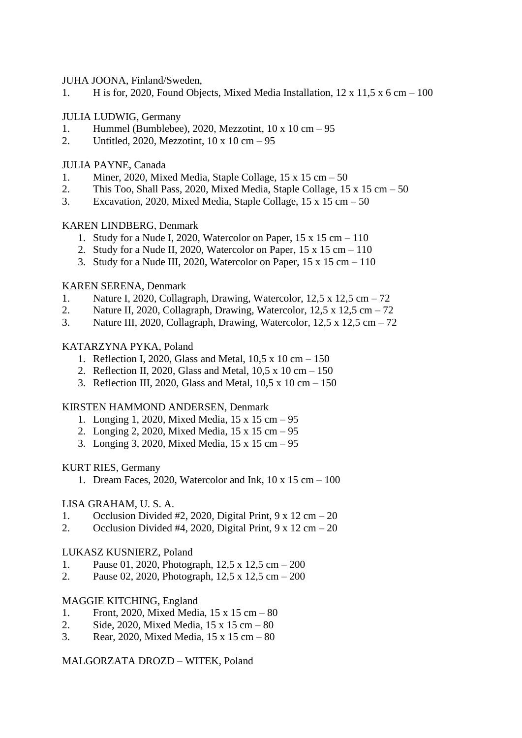JUHA JOONA, Finland/Sweden,

1. H is for, 2020, Found Objects, Mixed Media Installation,  $12 \times 11.5 \times 6$  cm  $-100$ 

## JULIA LUDWIG, Germany

- 1. Hummel (Bumblebee), 2020, Mezzotint, 10 x 10 cm 95
- 2. Untitled, 2020, Mezzotint, 10 x 10 cm 95

## JULIA PAYNE, Canada

- 1. Miner, 2020, Mixed Media, Staple Collage, 15 x 15 cm 50
- 2. This Too, Shall Pass, 2020, Mixed Media, Staple Collage, 15 x 15 cm 50
- 3. Excavation, 2020, Mixed Media, Staple Collage, 15 x 15 cm 50

## KAREN LINDBERG, Denmark

- 1. Study for a Nude I, 2020, Watercolor on Paper, 15 x 15 cm 110
- 2. Study for a Nude II, 2020, Watercolor on Paper,  $15 \times 15$  cm  $-110$
- 3. Study for a Nude III, 2020, Watercolor on Paper,  $15 \times 15$  cm  $-110$

## KAREN SERENA, Denmark

- 1. Nature I, 2020, Collagraph, Drawing, Watercolor, 12,5 x 12,5 cm 72
- 2. Nature II, 2020, Collagraph, Drawing, Watercolor, 12,5 x 12,5 cm 72
- 3. Nature III, 2020, Collagraph, Drawing, Watercolor,  $12.5 \times 12.5$  cm  $-72$

## KATARZYNA PYKA, Poland

- 1. Reflection I, 2020, Glass and Metal, 10,5 x 10 cm 150
- 2. Reflection II, 2020, Glass and Metal, 10,5 x 10 cm 150
- 3. Reflection III, 2020, Glass and Metal, 10,5 x 10 cm 150

### KIRSTEN HAMMOND ANDERSEN, Denmark

- 1. Longing 1, 2020, Mixed Media, 15 x 15 cm 95
- 2. Longing 2, 2020, Mixed Media, 15 x 15 cm 95
- 3. Longing 3, 2020, Mixed Media, 15 x 15 cm 95

### KURT RIES, Germany

1. Dream Faces, 2020, Watercolor and Ink,  $10 \times 15$  cm  $-100$ 

## LISA GRAHAM, U. S. A.

- 1. Occlusion Divided #2, 2020, Digital Print,  $9 \times 12$  cm  $-20$
- 2. Occlusion Divided #4, 2020, Digital Print,  $9 \times 12$  cm  $-20$

### LUKASZ KUSNIERZ, Poland

- 1. Pause 01, 2020, Photograph, 12,5 x 12,5 cm 200
- 2. Pause 02, 2020, Photograph, 12,5 x 12,5 cm 200

## MAGGIE KITCHING, England

- 1. Front, 2020, Mixed Media, 15 x 15 cm 80
- 2. Side, 2020, Mixed Media, 15 x 15 cm 80
- 3. Rear, 2020, Mixed Media, 15 x 15 cm 80

### MALGORZATA DROZD – WITEK, Poland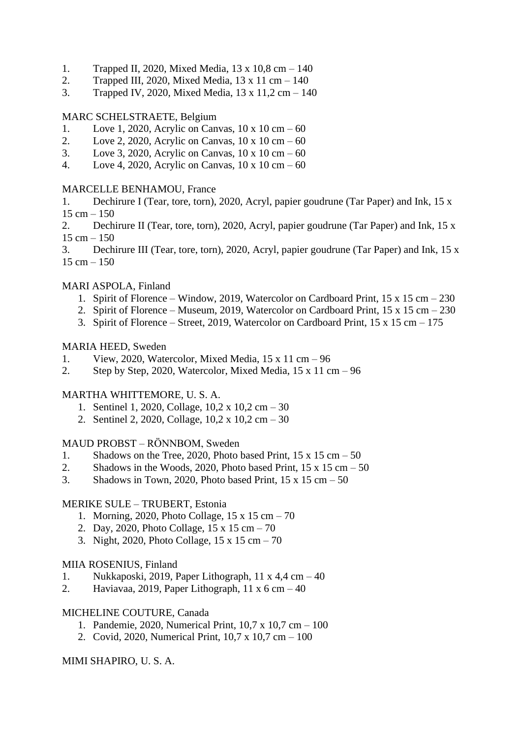- 1. Trapped II, 2020, Mixed Media, 13 x 10,8 cm 140
- 2. Trapped III, 2020, Mixed Media, 13 x 11 cm 140
- 3. Trapped IV, 2020, Mixed Media, 13 x 11,2 cm 140

# MARC SCHELSTRAETE, Belgium

- 1. Love 1, 2020, Acrylic on Canvas,  $10 \times 10 \text{ cm} 60$
- 2. Love 2, 2020, Acrylic on Canvas,  $10 \times 10 \text{ cm} 60$
- 3. Love 3, 2020, Acrylic on Canvas,  $10 \times 10 \text{ cm} 60$
- 4. Love 4, 2020, Acrylic on Canvas, 10 x 10 cm 60

## MARCELLE BENHAMOU, France

- 1. Dechirure I (Tear, tore, torn), 2020, Acryl, papier goudrune (Tar Paper) and Ink, 15 x  $15 cm - 150$
- 2. Dechirure II (Tear, tore, torn), 2020, Acryl, papier goudrune (Tar Paper) and Ink, 15 x  $15 cm - 150$
- 3. Dechirure III (Tear, tore, torn), 2020, Acryl, papier goudrune (Tar Paper) and Ink, 15 x  $15 cm - 150$

## MARI ASPOLA, Finland

- 1. Spirit of Florence Window, 2019, Watercolor on Cardboard Print, 15 x 15 cm 230
- 2. Spirit of Florence Museum, 2019, Watercolor on Cardboard Print, 15 x 15 cm 230
- 3. Spirit of Florence Street, 2019, Watercolor on Cardboard Print, 15 x 15 cm 175

## MARIA HEED, Sweden

- 1. View, 2020, Watercolor, Mixed Media, 15 x 11 cm 96
- 2. Step by Step, 2020, Watercolor, Mixed Media, 15 x 11 cm 96

# MARTHA WHITTEMORE, U. S. A.

- 1. Sentinel 1, 2020, Collage, 10,2 x 10,2 cm 30
- 2. Sentinel 2, 2020, Collage, 10,2 x 10,2 cm 30

# MAUD PROBST – RÖNNBOM, Sweden

- 1. Shadows on the Tree, 2020, Photo based Print,  $15 \times 15$  cm  $-50$
- 2. Shadows in the Woods, 2020, Photo based Print,  $15 \times 15$  cm  $-50$
- 3. Shadows in Town, 2020, Photo based Print,  $15 \times 15$  cm  $-50$

## MERIKE SULE – TRUBERT, Estonia

- 1. Morning, 2020, Photo Collage, 15 x 15 cm 70
- 2. Day, 2020, Photo Collage, 15 x 15 cm 70
- 3. Night, 2020, Photo Collage, 15 x 15 cm 70

## MIIA ROSENIUS, Finland

- 1. Nukkaposki, 2019, Paper Lithograph, 11 x 4,4 cm 40
- 2. Haviavaa, 2019, Paper Lithograph, 11  $x$  6 cm  $-40$

## MICHELINE COUTURE, Canada

- 1. Pandemie, 2020, Numerical Print, 10,7 x 10,7 cm 100
- 2. Covid, 2020, Numerical Print, 10,7 x 10,7 cm 100

## MIMI SHAPIRO, U. S. A.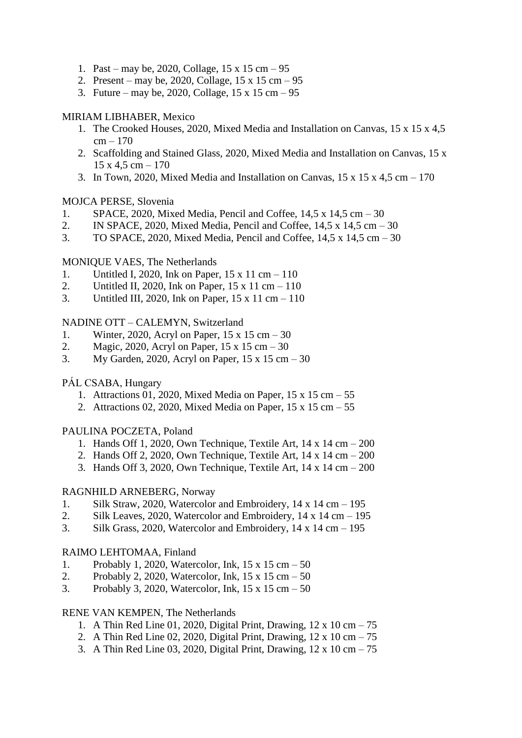- 1. Past may be, 2020, Collage, 15 x 15 cm 95
- 2. Present may be, 2020, Collage, 15 x 15 cm 95
- 3. Future may be, 2020, Collage, 15 x 15 cm 95

## MIRIAM LIBHABER, Mexico

- 1. The Crooked Houses, 2020, Mixed Media and Installation on Canvas, 15 x 15 x 4,5  $cm - 170$
- 2. Scaffolding and Stained Glass, 2020, Mixed Media and Installation on Canvas, 15 x  $15 \times 4, 5 \text{ cm} - 170$
- 3. In Town, 2020, Mixed Media and Installation on Canvas,  $15 \times 15 \times 4.5$  cm  $-170$

## MOJCA PERSE, Slovenia

- 1. SPACE, 2020, Mixed Media, Pencil and Coffee, 14,5 x 14,5 cm 30
- 2. IN SPACE, 2020, Mixed Media, Pencil and Coffee,  $14.5 \times 14.5 \text{ cm} 30$
- 3. TO SPACE, 2020, Mixed Media, Pencil and Coffee, 14,5 x 14,5 cm 30

## MONIQUE VAES, The Netherlands

- 1. Untitled I, 2020, Ink on Paper, 15 x 11 cm 110
- 2. Untitled II, 2020, Ink on Paper,  $15 \times 11$  cm  $-110$
- 3. Untitled III, 2020, Ink on Paper, 15 x 11 cm 110

## NADINE OTT – CALEMYN, Switzerland

- 1. Winter, 2020, Acryl on Paper, 15 x 15 cm 30
- 2. Magic, 2020, Acryl on Paper, 15 x 15 cm 30
- 3. My Garden, 2020, Acryl on Paper, 15 x 15 cm 30

## PÁL CSABA, Hungary

- 1. Attractions 01, 2020, Mixed Media on Paper,  $15 \times 15$  cm  $-55$
- 2. Attractions 02, 2020, Mixed Media on Paper,  $15 \times 15$  cm  $-55$

### PAULINA POCZETA, Poland

- 1. Hands Off 1, 2020, Own Technique, Textile Art, 14 x 14 cm 200
- 2. Hands Off 2, 2020, Own Technique, Textile Art, 14 x 14 cm 200
- 3. Hands Off 3, 2020, Own Technique, Textile Art, 14 x 14 cm 200

### RAGNHILD ARNEBERG, Norway

- 1. Silk Straw, 2020, Watercolor and Embroidery, 14 x 14 cm 195
- 2. Silk Leaves, 2020, Watercolor and Embroidery,  $14 \times 14$  cm  $195$
- 3. Silk Grass, 2020, Watercolor and Embroidery,  $14 \times 14$  cm  $195$

### RAIMO LEHTOMAA, Finland

- 1. Probably 1, 2020, Watercolor, Ink, 15 x 15 cm 50
- 2. Probably 2, 2020, Watercolor, Ink, 15 x 15 cm 50
- 3. Probably 3, 2020, Watercolor, Ink, 15 x 15 cm 50

### RENE VAN KEMPEN, The Netherlands

- 1. A Thin Red Line 01, 2020, Digital Print, Drawing,  $12 \times 10 \text{ cm} 75$
- 2. A Thin Red Line 02, 2020, Digital Print, Drawing,  $12 \times 10 \text{ cm} 75$
- 3. A Thin Red Line 03, 2020, Digital Print, Drawing,  $12 \times 10 \text{ cm} 75$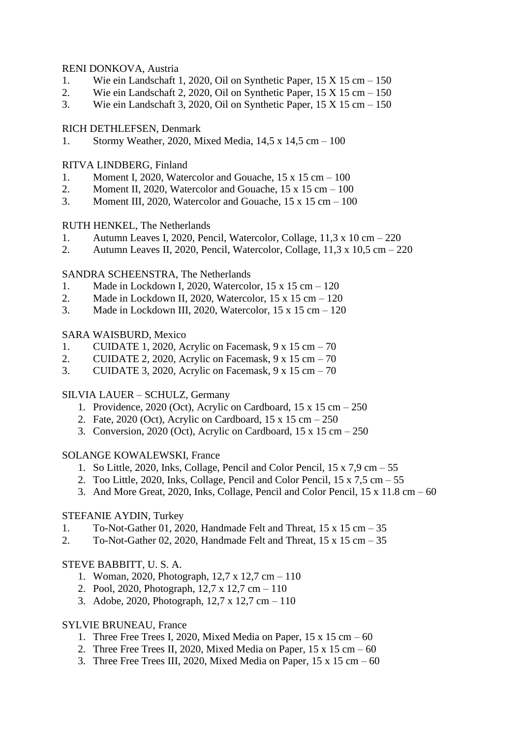## RENI DONKOVA, Austria

- 1. Wie ein Landschaft 1, 2020, Oil on Synthetic Paper, 15 X 15 cm 150
- 2. Wie ein Landschaft 2, 2020, Oil on Synthetic Paper, 15 X 15 cm 150
- 3. Wie ein Landschaft 3, 2020, Oil on Synthetic Paper, 15 X 15 cm 150

## RICH DETHLEFSEN, Denmark

1. Stormy Weather, 2020, Mixed Media, 14,5 x 14,5 cm – 100

## RITVA LINDBERG, Finland

- 1. Moment I, 2020, Watercolor and Gouache, 15 x 15 cm 100
- 2. Moment II, 2020, Watercolor and Gouache,  $15 \times 15$  cm  $100$
- 3. Moment III, 2020, Watercolor and Gouache,  $15 \times 15$  cm  $-100$

## RUTH HENKEL, The Netherlands

- 1. Autumn Leaves I, 2020, Pencil, Watercolor, Collage, 11,3 x 10 cm 220
- 2. Autumn Leaves II, 2020, Pencil, Watercolor, Collage,  $11.3 \times 10.5$  cm  $-220$

## SANDRA SCHEENSTRA, The Netherlands

- 1. Made in Lockdown I, 2020, Watercolor, 15 x 15 cm 120
- 2. Made in Lockdown II, 2020, Watercolor, 15 x 15 cm 120
- 3. Made in Lockdown III, 2020, Watercolor, 15 x 15 cm 120

## SARA WAISBURD, Mexico

- 1. CUIDATE 1, 2020, Acrylic on Facemask, 9 x 15 cm 70
- 2. CUIDATE 2, 2020, Acrylic on Facemask, 9 x 15 cm 70
- 3. CUIDATE 3, 2020, Acrylic on Facemask, 9 x 15 cm 70

## SILVIA LAUER – SCHULZ, Germany

- 1. Providence,  $2020$  (Oct), Acrylic on Cardboard,  $15 \times 15$  cm  $-250$
- 2. Fate, 2020 (Oct), Acrylic on Cardboard, 15 x 15 cm 250
- 3. Conversion, 2020 (Oct), Acrylic on Cardboard, 15 x 15 cm 250

### SOLANGE KOWALEWSKI, France

- 1. So Little, 2020, Inks, Collage, Pencil and Color Pencil, 15 x 7,9 cm 55
- 2. Too Little, 2020, Inks, Collage, Pencil and Color Pencil,  $15 \times 7.5$  cm  $-55$
- 3. And More Great, 2020, Inks, Collage, Pencil and Color Pencil, 15 x 11.8 cm 60

### STEFANIE AYDIN, Turkey

- 1. To-Not-Gather 01, 2020, Handmade Felt and Threat, 15 x 15 cm 35
- 2. To-Not-Gather 02, 2020, Handmade Felt and Threat, 15 x 15 cm 35

## STEVE BABBITT, U. S. A.

- 1. Woman, 2020, Photograph, 12,7 x 12,7 cm 110
- 2. Pool, 2020, Photograph, 12,7 x 12,7 cm 110
- 3. Adobe, 2020, Photograph, 12,7 x 12,7 cm 110

## SYLVIE BRUNEAU, France

- 1. Three Free Trees I, 2020, Mixed Media on Paper,  $15 \times 15$  cm  $-60$
- 2. Three Free Trees II, 2020, Mixed Media on Paper,  $15 \times 15$  cm  $-60$
- 3. Three Free Trees III, 2020, Mixed Media on Paper,  $15 \times 15$  cm  $-60$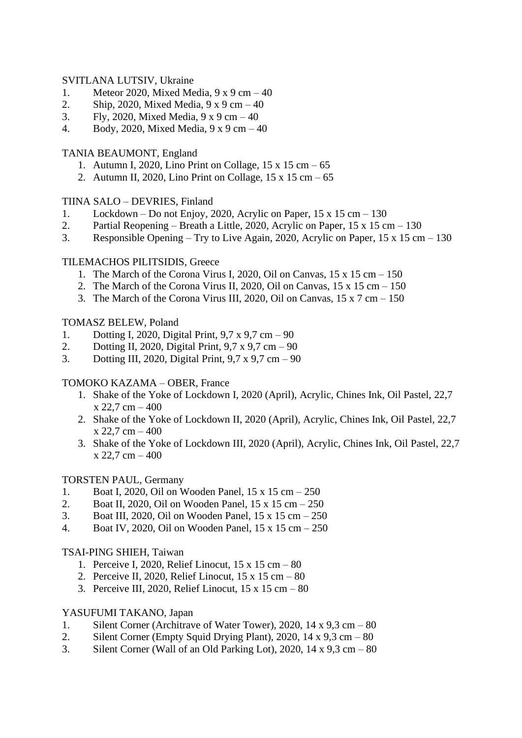## SVITLANA LUTSIV, Ukraine

- 1. Meteor 2020, Mixed Media, 9 x 9 cm 40
- 2. Ship, 2020, Mixed Media,  $9 \times 9$  cm  $-40$
- 3. Fly, 2020, Mixed Media,  $9 \times 9$  cm  $-40$
- 4. Body, 2020, Mixed Media, 9 x 9 cm 40

## TANIA BEAUMONT, England

- 1. Autumn I, 2020, Lino Print on Collage, 15 x 15 cm 65
- 2. Autumn II, 2020, Lino Print on Collage, 15 x 15 cm 65

## TIINA SALO – DEVRIES, Finland

- 1. Lockdown Do not Enjoy, 2020, Acrylic on Paper, 15 x 15 cm 130
- 2. Partial Reopening Breath a Little, 2020, Acrylic on Paper,  $15 \times 15$  cm  $130$
- 3. Responsible Opening Try to Live Again, 2020, Acrylic on Paper, 15 x 15 cm 130

## TILEMACHOS PILITSIDIS, Greece

- 1. The March of the Corona Virus I, 2020, Oil on Canvas,  $15 \times 15$  cm  $150$
- 2. The March of the Corona Virus II, 2020, Oil on Canvas,  $15 \times 15$  cm  $150$
- 3. The March of the Corona Virus III, 2020, Oil on Canvas, 15 x 7 cm 150

## TOMASZ BELEW, Poland

- 1. Dotting I, 2020, Digital Print, 9,7 x 9,7 cm 90
- 2. Dotting II, 2020, Digital Print, 9,7 x 9,7 cm 90
- 3. Dotting III, 2020, Digital Print, 9,7 x 9,7 cm 90

## TOMOKO KAZAMA – OBER, France

- 1. Shake of the Yoke of Lockdown I, 2020 (April), Acrylic, Chines Ink, Oil Pastel, 22,7  $x$  22,7 cm  $-400$
- 2. Shake of the Yoke of Lockdown II, 2020 (April), Acrylic, Chines Ink, Oil Pastel, 22,7  $x 22,7 cm - 400$
- 3. Shake of the Yoke of Lockdown III, 2020 (April), Acrylic, Chines Ink, Oil Pastel, 22,7  $x 22.7 cm - 400$

## TORSTEN PAUL, Germany

- 1. Boat I, 2020, Oil on Wooden Panel, 15 x 15 cm 250
- 2. Boat II, 2020, Oil on Wooden Panel, 15 x 15 cm 250
- 3. Boat III, 2020, Oil on Wooden Panel, 15 x 15 cm 250
- 4. Boat IV, 2020, Oil on Wooden Panel, 15 x 15 cm 250

### TSAI-PING SHIEH, Taiwan

- 1. Perceive I, 2020, Relief Linocut, 15 x 15 cm 80
- 2. Perceive II, 2020, Relief Linocut, 15 x 15 cm 80
- 3. Perceive III, 2020, Relief Linocut, 15 x 15 cm 80

### YASUFUMI TAKANO, Japan

- 1. Silent Corner (Architrave of Water Tower), 2020, 14 x 9,3 cm 80
- 2. Silent Corner (Empty Squid Drying Plant), 2020, 14 x 9,3 cm 80
- 3. Silent Corner (Wall of an Old Parking Lot), 2020, 14 x 9,3 cm 80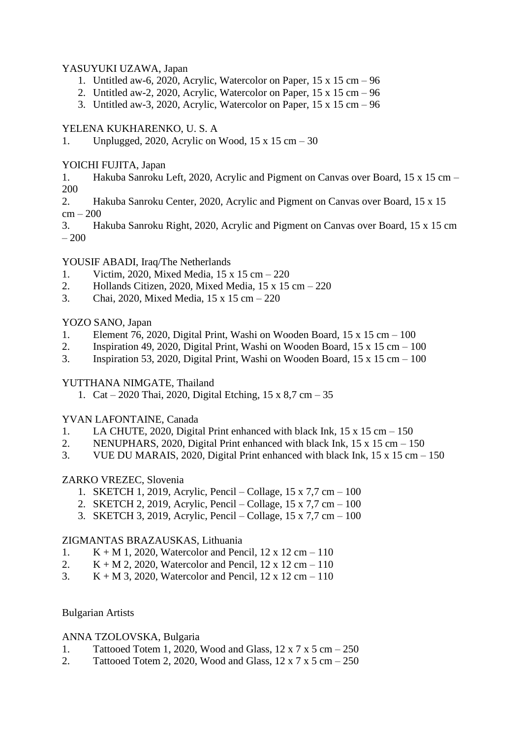## YASUYUKI UZAWA, Japan

- 1. Untitled aw-6, 2020, Acrylic, Watercolor on Paper, 15 x 15 cm 96
- 2. Untitled aw-2, 2020, Acrylic, Watercolor on Paper,  $15 \times 15$  cm  $-96$
- 3. Untitled aw-3, 2020, Acrylic, Watercolor on Paper,  $15 \times 15$  cm  $-96$

# YELENA KUKHARENKO, U. S. A

1. Unplugged, 2020, Acrylic on Wood,  $15 \times 15$  cm  $-30$ 

# YOICHI FUJITA, Japan

1. Hakuba Sanroku Left, 2020, Acrylic and Pigment on Canvas over Board, 15 x 15 cm – 200

2. Hakuba Sanroku Center, 2020, Acrylic and Pigment on Canvas over Board, 15 x 15  $cm - 200$ 

3. Hakuba Sanroku Right, 2020, Acrylic and Pigment on Canvas over Board, 15 x 15 cm – 200

## YOUSIF ABADI, Iraq/The Netherlands

- 1. Victim, 2020, Mixed Media, 15 x 15 cm 220
- 2. Hollands Citizen, 2020, Mixed Media, 15 x 15 cm 220
- 3. Chai, 2020, Mixed Media, 15 x 15 cm 220

## YOZO SANO, Japan

- 1. Element 76, 2020, Digital Print, Washi on Wooden Board, 15 x 15 cm 100
- 2. Inspiration 49, 2020, Digital Print, Washi on Wooden Board,  $15 \times 15$  cm  $-100$
- 3. Inspiration 53, 2020, Digital Print, Washi on Wooden Board, 15 x 15 cm 100

# YUTTHANA NIMGATE, Thailand

1. Cat – 2020 Thai, 2020, Digital Etching, 15 x 8,7 cm – 35

# YVAN LAFONTAINE, Canada

- 1. LA CHUTE, 2020, Digital Print enhanced with black Ink, 15 x 15 cm 150
- 2. NENUPHARS, 2020, Digital Print enhanced with black Ink, 15 x 15 cm 150
- 3. VUE DU MARAIS, 2020, Digital Print enhanced with black Ink, 15 x 15 cm 150

## ZARKO VREZEC, Slovenia

- 1. SKETCH 1, 2019, Acrylic, Pencil Collage, 15 x 7,7 cm 100
- 2. SKETCH 2, 2019, Acrylic, Pencil Collage, 15 x 7,7 cm 100
- 3. SKETCH 3, 2019, Acrylic, Pencil Collage, 15 x 7,7 cm 100

## ZIGMANTAS BRAZAUSKAS, Lithuania

- 1.  $K + M$  1, 2020, Watercolor and Pencil, 12 x 12 cm 110
- 2.  $K + M$  2, 2020, Watercolor and Pencil,  $12 \times 12$  cm  $-110$
- 3.  $K + M$  3, 2020, Watercolor and Pencil, 12 x 12 cm 110

## Bulgarian Artists

## ANNA TZOLOVSKA, Bulgaria

- 1. Tattooed Totem 1, 2020, Wood and Glass,  $12 \times 7 \times 5$  cm  $-250$
- 2. Tattooed Totem 2, 2020, Wood and Glass,  $12 \times 7 \times 5$  cm  $-250$